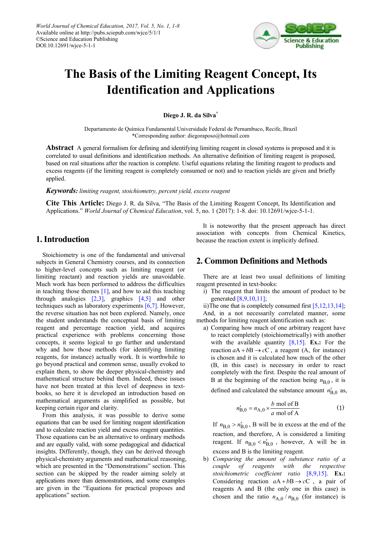

# **The Basis of the Limiting Reagent Concept, Its Identification and Applications**

**Diego J. R. da Silva\***

Departamento de Química Fundamental Universidade Federal de Pernambuco, Recife, Brazil \*Corresponding author: diegoraposo@hotmail.com

**Abstract** A general formalism for defining and identifying limiting reagent in closed systems is proposed and it is correlated to usual definitions and identification methods. An alternative definition of limiting reagent is proposed, based on real situations after the reaction is complete. Useful equations relating the limiting reagent to products and excess reagents (if the limiting reagent is completely consumed or not) and to reaction yields are given and briefly applied.

*Keywords: limiting reagent, stoichiometry, percent yield, excess reagent*

**Cite This Article:** Diego J. R. da Silva, "The Basis of the Limiting Reagent Concept, Its Identification and Applications." *World Journal of Chemical Education*, vol. 5, no. 1 (2017): 1-8. doi: 10.12691/wjce-5-1-1.

## **1. Introduction**

Stoichiometry is one of the fundamental and universal subjects in General Chemistry courses, and its connection to higher-level concepts such as limiting reagent (or limiting reactant) and reaction yields are unavoidable. Much work has been performed to address the difficulties in teaching those themes  $[1]$ , and how to aid this teaching through analogies  $[2,3]$ , graphics  $[4,5]$  and other techniques such as laboratory experiments [\[6,7\].](#page-6-3) However, the reverse situation has not been explored. Namely, once the student understands the conceptual basis of limiting reagent and percentage reaction yield, and acquires practical experience with problems concerning those concepts, it seems logical to go further and understand why and how those methods (for identifying limiting reagents, for instance) actually work. It is worthwhile to go beyond practical and common sense, usually evoked to explain them, to show the deeper physical-chemistry and mathematical structure behind them. Indeed, these issues have not been treated at this level of deepness in textbooks, so here it is developed an introduction based on mathematical arguments as simplified as possible, but keeping certain rigor and clarity.

From this analysis, it was possible to derive some equations that can be used for limiting reagent identification and to calculate reaction yield and excess reagent quantities. Those equations can be an alternative to ordinary methods and are equally valid, with some pedagogical and didactical insights. Differently, though, they can be derived through physical-chemistry arguments and mathematical reasoning, which are presented in the "Demonstrations" section. This section can be skipped by the reader aiming solely at applications more than demonstrations, and some examples are given in the "Equations for practical proposes and applications" section.

It is noteworthy that the present approach has direct association with concepts from Chemical Kinetics, because the reaction extent is implicitly defined.

## **2. Common Definitions and Methods**

There are at least two usual definitions of limiting reagent presented in text-books:

i) The reagent that limits the amount of product to be generate[d \[8,9,10,11\];](#page-6-4)

ii)The one that is completely consumed first [\[5,12,13,14\];](#page-6-5) And, in a not necessarily correlated manner, some methods for limiting reagent identification such as:

a) Comparing how much of one arbitrary reagent have to react completely (stoichiometrically) with another with the available quantity [\[8,15\].](#page-6-4) **Ex.:** For the reaction  $aA + bB \rightarrow cC$ , a reagent (A, for instance) is chosen and it is calculated how much of the other (B, in this case) is necessary in order to react completely with the first. Despite the real amount of B at the beginning of the reaction being  $n_{B,0}$ , it is defined and calculated the substance amount  $n'_{B,0}$  as,

$$
n'_{B,0} = n_{A,0} \times \frac{b \text{ mol of B}}{a \text{ mol of A}}
$$
 (1)

If  $n_{B,0} > n'_{B,0}$ , B will be in excess at the end of the reaction, and therefore, A is considered a limiting reagent. If  $n_{B,0} < n'_{B,0}$ , however, A will be in excess and B is the limiting reagent.

b) *Comparing the amount of substance ratio of a couple of reagents with the respective stoichiometric coefficient ratio* [\[8,9,15\].](#page-6-4) **Ex.:** Considering reaction  $aA + bB \rightarrow cC$ , a pair of reagents A and B (the only one in this case) is chosen and the ratio  $n_{A,0}/n_{B,0}$  (for instance) is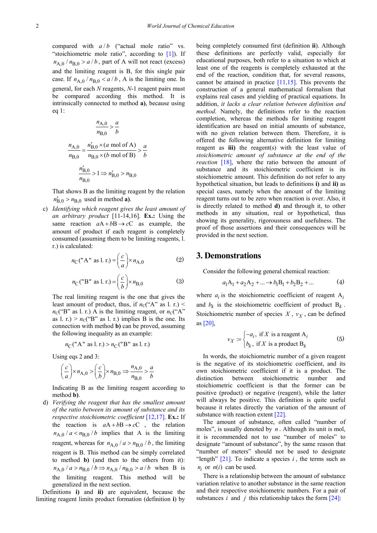compared with  $a/b$  ("actual mole ratio" vs. "stoichiometric mole ratio", according to  $[1]$ ). If  $n_{A,0}$  /  $n_{B,0}$  >  $a/b$ , part of A will not react (excess) and the limiting reagent is B, for this single pair case. If  $n_{A,0}$  /  $n_{B,0}$  <  $a/b$ , A is the limiting one. In general, for each *N* reagents, *N*-1 reagent pairs must be compared according this method. It is intrinsically connected to method **a)**, because using eq 1:

$$
\frac{n_{A,0}}{n_{B,0}} > \frac{a}{b}
$$
  

$$
\frac{n_{A,0}}{n_{B,0}} = \frac{n'_{B,0} \times (a \text{ mol of A})}{n_{B,0} \times (b \text{ mol of B})} > \frac{a}{b}
$$
  

$$
\frac{n'_{B,0}}{n_{B,0}} > 1 \Rightarrow n'_{B,0} > n_{B,0}
$$

That shows B as the limiting reagent by the relation  $n'_{\rm B,0} > n_{\rm B,0}$  used in method **a**).

c) *Identifying which reagent gives the least amount of an arbitrary product* [11-14,16]. **Ex.:** Using the same reaction  $aA + bB \rightarrow cC$  as example, the amount of product if each reagent is completely consumed (assuming them to be limiting reagents, l. r.) is calculated:

$$
n_{\rm C}("{\rm A}"\text{ as }1, r.) = \left(\frac{c}{a}\right) \times n_{\rm A,0} \tag{2}
$$

$$
n_{\rm C}("B" as l. r.) = \left(\frac{c}{b}\right) \times n_{\rm B,0} \tag{3}
$$

The real limiting reagent is the one that gives the least amount of product, thus, if  $n_C("A"$  as l. r.) <  $n_{\rm C}$ ("B" as l. r.) A is the limiting reagent, or  $n_{\rm C}$  ("A" as l. r.) >  $n_C("B"$  as l. r.) implies B is the one. Its connection with method **b)** can be proved, assuming the following inequality as an example:

$$
n_{\mathbb{C}}("A" as l. r.) > n_{\mathbb{C}}("B" as l. r.)
$$

Using eqs 2 and 3:

$$
\left(\frac{c}{a}\right) \times n_{A,0} > \left(\frac{c}{b}\right) \times n_{B,0} \Rightarrow \frac{n_{A,0}}{n_{B,0}} > \frac{a}{b}
$$

Indicating B as the limiting reagent according to method **b)**.

d) *Verifying the reagent that has the smallest amount of the ratio between its amount of substance and its respective stoichiometric coefficient* [\[12,17\].](#page-6-6) **Ex.:** If the reaction is  $aA + bB \rightarrow cC$ , the relation  $n_{A,0}$  /  $a < n_{B,0}$  /  $b$  implies that A is the limiting reagent, whereas for  $n_{A,0}$  /  $a > n_{B,0}$  / *b*, the limiting reagent is B. This method can be simply correlated to method **b)** (and then to the others from it):  $n_{A,0}$  /  $a > n_{B,0}$  /  $b \Rightarrow n_{A,0}$  /  $n_{B,0} > a/b$  when B is the limiting reagent. This method will be generalized in the next section.

Definitions **i)** and **ii)** are equivalent, because the limiting reagent limits product formation (definition **i**) by being completely consumed first (definition **ii**). Although these definitions are perfectly valid, especially for educational purposes, both refer to a situation to which at least one of the reagents is completely exhausted at the end of the reaction, condition that, for several reasons, cannot be attained in practice [\[11,15\].](#page-6-7) This prevents the construction of a general mathematical formalism that explains real cases and yielding of practical equations. In addition, *it lacks a clear relation between definition and method*. Namely, the definitions refer to the reaction completion, whereas the methods for limiting reagent identification are based on initial amounts of substance, with no given relation between them. Therefore, it is offered the following alternative definition for limiting reagent as **iii)** the reagent(s) with the least value of *stoichiometric amount of substance at the end of the reaction* [\[18\],](#page-7-0) where the ratio between the amount of substance and its stoichiometric coefficient is its stoichiometric amount. This definition do not refer to any hypothetical situation, but leads to definitions **i)** and **ii)** as special cases, namely when the amount of the limiting reagent turns out to be zero when reaction is over. Also, it is directly related to method **d)** and through it, to other methods in any situation, real or hypothetical, thus showing its generality, rigorousness and usefulness. The proof of those assertions and their consequences will be provided in the next section.

#### **3. Demonstrations**

Consider the following general chemical reaction:

$$
a_1A_1 + a_2A_2 + \dots \to b_1B_1 + b_2B_2 + \dots \tag{4}
$$

where  $a_i$  is the stoichiometric coefficient of reagent  $A_i$ and  $b_k$  is the stoichiometric coefficient of product  $B_k$ . Stoichiometric number of species  $X$ ,  $v_X$ , can be defined as [\[20\],](#page-7-1)

$$
\nu_X := \begin{cases}\n-a_i, & \text{if } X \text{ is a reagent A}_i \\
b_k, & \text{if } X \text{ is a product B}_k\n\end{cases}
$$
\n(5)

In words, the stoichiometric number of a given reagent is the negative of its stoichiometric coefficient, and its own stoichiometric coefficient if it is a product. The distinction between stoichiometric number and stoichiometric coefficient is that the former can be positive (product) or negative (reagent), while the latter will always be positive. This definition is quite useful because it relates directly the variation of the amount of substance with reaction exten[t \[22\].](#page-7-2)

The amount of substance, often called "number of moles", is usually denoted by *n*. Although its unit is mol, it is recommended not to use "number of moles" to designate "amount of substance", by the same reason that "number of meters" should not be used to designate "length"  $[21]$ . To indicate a species  $i$ , the terms such as  $n_i$  or  $n(i)$  can be used.

There is a relationship between the amount of substance variation relative to another substance in the same reaction and their respective stoichiometric numbers. For a pair of substances *i* and *j* this relationship takes the form  $[24]$ :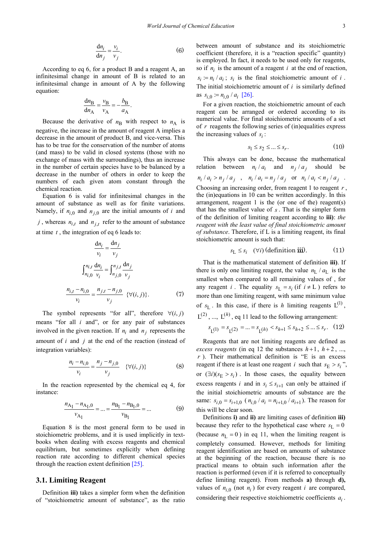$$
\frac{\mathrm{d}n_i}{\mathrm{d}n_j} = \frac{v_i}{v_j}.\tag{6}
$$

According to eq 6, for a product B and a reagent A, an infinitesimal change in amount of B is related to an infinitesimal change in amount of A by the following equation:

$$
\frac{dn_{\rm B}}{dn_{\rm A}} = \frac{v_{\rm B}}{v_{\rm A}} = -\frac{b_{\rm B}}{a_{\rm A}}.
$$

Because the derivative of  $n<sub>B</sub>$  with respect to  $n<sub>A</sub>$  is negative, the increase in the amount of reagent A implies a decrease in the amount of product B, and vice-versa. This has to be true for the conservation of the number of atoms (and mass) to be valid in closed systems (those with no exchange of mass with the surroundings), thus an increase in the number of certain species have to be balanced by a decrease in the number of others in order to keep the numbers of each given atom constant through the chemical reaction.

Equation 6 is valid for infinitesimal changes in the amount of substance as well as for finite variations. Namely, if  $n_{i,0}$  and  $n_{i,0}$  are the initial amounts of *i* and *j*, whereas  $n_{i,t}$  and  $n_{j,t}$  refer to the amount of substance at time *t* , the integration of eq 6 leads to:

$$
\frac{dn_i}{v_i} = \frac{dn_j}{v_j}
$$

$$
\int_{n_{i,0}}^{n_{i,t}} \frac{dn_i}{v_i} = \int_{n_{j,0}}^{n_{j,t}} \frac{dn_j}{v_j}
$$

$$
\frac{n_{i,t} - n_{i,0}}{v_i} = \frac{n_{j,t} - n_{j,0}}{v_j} \quad \{\forall (i,j)\}.
$$
(7)

The symbol represents "for all", therefore  $\forall (i, j)$ means "for all *i* and", or for any pair of substances involved in the given reaction. If  $n_i$  and  $n_j$  represents the amount of *i* and *j* at the end of the reaction (instead of integration variables):

$$
\frac{n_i - n_{i,0}}{v_i} = \frac{n_j - n_{j,0}}{v_j} \quad \{\forall (i,j)\}
$$
 (8)

In the reaction represented by the chemical eq 4, for instance:

$$
\frac{n_{A_1} - n_{A_1,0}}{v_{A_1}} = \dots = \frac{n_{B_1} - n_{B_1,0}}{v_{B_1}} = \dots
$$
 (9)

Equation 8 is the most general form to be used in stoichiometric problems, and it is used implicitly in textbooks when dealing with excess reagents and chemical equilibrium, but sometimes explicitly when defining reaction rate according to different chemical species through the reaction extent definition [\[25\].](#page-7-5)

#### **3.1. Limiting Reagent**

Definition **iii)** takes a simpler form when the definition of "stoichiometric amount of substance", as the ratio between amount of substance and its stoichiometric coefficient (therefore, it is a "reaction specific" quantity) is employed. In fact, it needs to be used only for reagents, so if  $n_i$  is the amount of a reagent *i* at the end of reaction,  $s_i := n_i / a_i$ ;  $s_i$  is the final stoichiometric amount of *i*. The initial stoichiometric amount of *i* is similarly defined as  $s_{i,0} := n_{i,0} / a_{i}$  [\[26\].](#page-7-6)

For a given reaction, the stoichiometric amount of each reagent can be arranged or ordered according to its numerical value. For final stoichiometric amounts of a set of *r* reagents the following series of (in)equalities express the increasing values of  $s_i$ :

$$
s_1 \le s_2 \le \dots \le s_r. \tag{10}
$$

This always can be done, because the mathematical relation between  $n_i / a_i$  and  $n_j / a_j$  should be  $n_i / a_i > n_j / a_j$ ,  $n_i / a_i = n_j / a_j$  or  $n_i / a_i < n_j / a_j$ . Choosing an increasing order, from reagent 1 to reagent *r* , the (in)equations in 10 can be written accordingly. In this arrangement, reagent 1 is the (or one of the) reagent(s) that has the smallest value of *s* . That is the simpler form of the definition of limiting reagent according to **iii)**: *the reagent with the least value of final stoichiometric amount of substance*. Therefore, if L is a limiting reagent, its final stoichiometric amount is such that:

$$
s_{\mathcal{L}} \le s_i \quad (\forall i) \text{ (definition iii)}.\tag{11}
$$

That is the mathematical statement of definition **iii)**. If there is only one limiting reagent, the value  $n_L / a_L$  is the smallest when compared to all remaining values of , for any reagent *i*. The equality  $s_L = s_i$  (if  $i \neq L$ ) refers to more than one limiting reagent, with same minimum value of  $s_I$ . In this case, if there is *h* limiting reagents  $L^{(1)}$ ,  $L^{(2)}$ , ...,  $L^{(h)}$ , eq 11 lead to the following arrangement:

$$
s_{\mathcal{L}}(1) = s_{\mathcal{L}}(2) = \dots = s_{\mathcal{L}}(h) < s_{h+1} \le s_{h+2} \le \dots \le s_r. \tag{12}
$$

Reagents that are not limiting reagents are defined as *excess reagents* (in eq 12 the substances  $h+1$ ,  $h+2$ , ..., *r* ). Their mathematical definition is "E is an excess reagent if there is at least one reagent *i* such that  $s_E > s_i$ ", or  $(\exists i)(s_E > s_i)$ . In those cases, the equality between excess reagents *i* and in  $s_i \leq s_{i+1}$  can only be attained if the initial stoichiometric amounts of substance are the same:  $s_{i,0} = s_{i+1,0}$  ( $n_{i,0} / a_i = n_{i+1,0} / a_{i+1}$ ). The reason for this will be clear soon.

Definitions **i)** and **ii)** are limiting cases of definition **iii)** because they refer to the hypothetical case where  $s_L = 0$ (because  $n_L = 0$ ) in eq 11, when the limiting reagent is completely consumed. However, methods for limiting reagent identification are based on amounts of substance at the beginning of the reaction, because there is no practical means to obtain such information after the reaction is performed (even if it is referred to conceptually define limiting reagent). From methods **a)** through **d),** values of  $n_{i,0}$  (not  $n_i$ ) for every reagent *i* are compared, considering their respective stoichiometric coefficients  $a_i$ .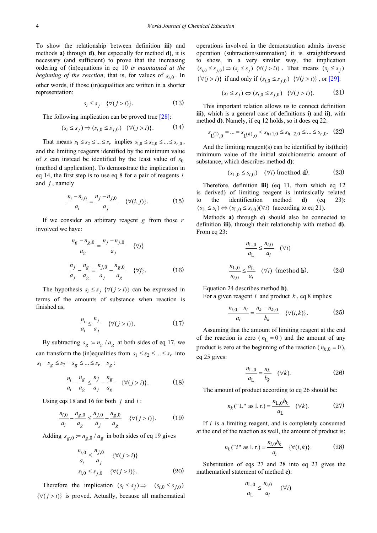To show the relationship between definition **iii)** and methods **a)** through **d)**, but especially for method **d)**, it is necessary (and sufficient) to prove that the increasing ordering of (in)equations in eq 10 *is maintained at the beginning of the reaction*, that is, for values of  $s_{i,0}$ . In other words, if those (in)equalities are written in a shorter representation:

$$
s_i \le s_j \quad \{\forall (j > i)\}.\tag{13}
$$

The following implication can be proved true [\[28\]:](#page-7-7)

$$
(s_i \le s_j) \Rightarrow (s_{i,0} \le s_{j,0}) \quad \{\forall (j > i)\}.
$$
 (14)

That means  $s_1 \le s_2 \le ... \le s_r$  implies  $s_{1,0} \le s_{2,0} \le ... \le s_{r,0}$ , and the limiting reagents identified by the minimum value of *s* can instead be identified by the least value of  $s_0$ (method **d** application). To demonstrate the implication in eq 14, the first step is to use eq 8 for a pair of reagents *i* and *j* , namely

$$
\frac{n_i - n_{i,0}}{a_i} = \frac{n_j - n_{j,0}}{a_j} \quad \{\forall (i,j)\}.
$$
 (15)

If we consider an arbitrary reagent *g* from those *r* involved we have:

$$
\frac{n_g - n_{g,0}}{a_g} = \frac{n_j - n_{j,0}}{a_j} \quad \{\forall j\}
$$
  

$$
\frac{n_j}{a_j} - \frac{n_g}{a_g} = \frac{n_{j,0}}{a_j} - \frac{n_{g,0}}{a_g} \quad \{\forall j\}.
$$
 (16)

The hypothesis  $s_i \leq s_j$  { $\forall (j > i)$ } can be expressed in terms of the amounts of substance when reaction is finished as,

$$
\frac{n_i}{a_i} \le \frac{n_j}{a_j} \quad \{\forall (j > i)\}.
$$
 (17)

By subtracting  $s_g := n_g / a_g$  at both sides of eq 17, we can transform the (in)equalities from  $s_1 \leq s_2 \leq ... \leq s_r$  into  $s_1 - s_g \leq s_2 - s_g \leq ... \leq s_r - s_g$ :

$$
\frac{n_i}{a_i} - \frac{n_g}{a_g} \le \frac{n_j}{a_j} - \frac{n_g}{a_g} \quad \{\forall (j > i)\}.
$$
 (18)

Using eqs 18 and 16 for both *j* and *i* :

$$
\frac{n_{i,0}}{a_i} - \frac{n_{g,0}}{a_g} \le \frac{n_{j,0}}{a_j} - \frac{n_{g,0}}{a_g} \quad \{\forall (j > i)\}.
$$
 (19)

Adding  $s_{g,0} := n_{g,0} / a_g$  in both sides of eq 19 gives

$$
\frac{n_{i,0}}{a_i} \le \frac{n_{j,0}}{a_j} \quad \{\forall (j > i)\}\
$$
  

$$
s_{i,0} \le s_{j,0} \quad \{\forall (j > i)\}.
$$
 (20)

Therefore the implication  $(s_i \leq s_j) \Rightarrow (s_{i,0} \leq s_{i,0})$  $\{\forall (j > i)\}\$ is proved. Actually, because all mathematical operations involved in the demonstration admits inverse operation (subtraction/summation) it is straightforward to show, in a very similar way, the implication  $(s_{i,0} \leq s_{i,0}) \Rightarrow (s_i \leq s_i) \{ \forall (j > i) \}$ . That means  $(s_i \leq s_i)$  $\{\forall (j > i)\}\$  if and only if  $(s_{i,0} \leq s_{i,0}) \ \{\forall (j > i)\}\$ , or [\[29\]:](#page-7-8)

$$
(s_i \le s_j) \Leftrightarrow (s_{i,0} \le s_{j,0}) \quad \{\forall (j > i)\}.
$$
 (21)

This important relation allows us to connect definition **iii)**, which is a general case of definitions **i)** and **ii)**, with method **d)**. Namely, if eq 12 holds, so it does eq 22:

$$
s_{\mathrm{L}^{(1)},0} = \ldots = s_{\mathrm{L}^{(h)},0} < s_{h+1,0} \leq s_{h+2,0} \leq \ldots \leq s_{r,0}. \quad (22)
$$

And the limiting reagent(s) can be identified by its(their) minimum value of the initial stoichiometric amount of substance, which describes method **d)**:

$$
(s_{L,0} \le s_{i,0}) \quad (\forall i) \text{ (method d).} \tag{23}
$$

Therefore, definition **iii)** (eq 11, from which eq 12 is derived) of limiting reagent is intrinsically related to the identification method **d)** (eq 23):  $(s_L \leq s_i) \Leftrightarrow (s_{L,0} \leq s_{i,0}) (\forall i)$  (according to eq 21).

Methods **a)** through **c)** should also be connected to definition **iii)**, through their relationship with method **d)**. From eq 23:

$$
\frac{n_{L,0}}{a_L} \le \frac{n_{i,0}}{a_i} \quad (\forall i)
$$
  

$$
\frac{n_{L,0}}{n_{i,0}} \le \frac{a_L}{a_i} \quad (\forall i) \text{ (method b).}
$$
 (24)

Equation 24 describes method **b)**.

For a given reagent *i* and product *k* , eq 8 implies:

$$
\frac{n_{i,0} - n_i}{a_i} = \frac{n_k - n_{k,0}}{b_k} \quad \{\forall (i,k)\}.
$$
 (25)

Assuming that the amount of limiting reagent at the end of the reaction is zero ( $n_L = 0$ ) and the amount of any product is zero at the beginning of the reaction ( $n_{k,0} = 0$ ), eq 25 gives:

$$
\frac{n_{\text{L},0}}{a_{\text{L}}} = \frac{n_k}{b_k} \quad (\forall k). \tag{26}
$$

The amount of product according to eq 26 should be:

$$
n_k("L" as l. r.) = \frac{n_{L,0}b_k}{a_L} \quad (\forall k). \tag{27}
$$

If *i* is a limiting reagent, and is completely consumed at the end of the reaction as well, the amount of product is:

$$
n_k("i" as 1. r.) = \frac{n_{i,0}b_k}{a_i} \quad \{\forall (i,k)\}.
$$
 (28)

Substitution of eqs 27 and 28 into eq 23 gives the mathematical statement of method **c)**:

$$
\frac{n_{\text{L},0}}{a_{\text{L}}} \le \frac{n_{i,0}}{a_i} \quad (\forall i)
$$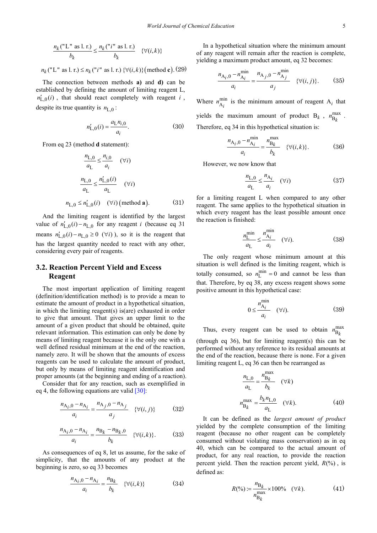$$
\frac{n_k("L" as l. r.)}{b_k} \le \frac{n_k("i" as l. r.)}{b_k} \quad \{\forall (i,k)\}
$$

 $n_k$  ("L" as l. r.)  $\le n_k$  ("*i*" as l. r.)  $\forall$  (*i, k*)} (method c). (29)

The connection between methods **a)** and **d)** can be established by defining the amount of limiting reagent L,  $n'_{l,0}(i)$ , that should react completely with reagent *i*, despite its true quantity is  $n_{L,0}$ :

$$
n'_{L,0}(i) = \frac{a_L n_{i,0}}{a_i}.
$$
 (30)

From eq 23 (method **d** statement):

$$
\frac{n_{L,0}}{a_L} \le \frac{n_{i,0}}{a_i} \quad (\forall i)
$$

$$
\frac{n_{L,0}}{a_L} \le \frac{n'_{L,0}(i)}{a_L} \quad (\forall i)
$$

$$
n_{L,0} \le n'_{L,0}(i) \quad (\forall i) \text{ (method a).}
$$
(31)

And the limiting reagent is identified by the largest value of  $n'_{L,0}(i) - n_{L,0}$  for any reagent *i* (because eq 31) means  $n'_{l,0}$  (*i*)  $-n_{l,0} \ge 0$  ( $\forall i$ ), so it is the reagent that has the largest quantity needed to react with any other, considering every pair of reagents.

#### **3.2. Reaction Percent Yield and Excess Reagent**

The most important application of limiting reagent (definition/identification method) is to provide a mean to estimate the amount of product in a hypothetical situation, in which the limiting reagent(s) is(are) exhausted in order to give that amount. That gives an upper limit to the amount of a given product that should be obtained, quite relevant information. This estimation can only be done by means of limiting reagent because it is the only one with a well defined residual minimum at the end of the reaction, namely zero. It will be shown that the amounts of excess reagents can be used to calculate the amount of product, but only by means of limiting reagent identification and proper amounts (at the beginning and ending of a reaction).

Consider that for any reaction, such as exemplified in eq 4, the following equations are valid  $[30]$ :

$$
\frac{n_{A_i,0} - n_{A_i}}{a_i} = \frac{n_{A_j,0} - n_{A_j}}{a_j} \quad \{\forall (i,j)\}
$$
(32)

$$
\frac{n_{A_i,0} - n_{A_i}}{a_i} = \frac{n_{B_k} - n_{B_k,0}}{b_k} \quad \{\forall (i,k)\}.
$$
 (33)

As consequences of eq 8, let us assume, for the sake of simplicity, that the amounts of any product at the beginning is zero, so eq 33 becomes

$$
\frac{n_{A_i,0} - n_{A_i}}{a_i} = \frac{n_{B_k}}{b_k} \quad \{\forall (i,k)\}
$$
 (34)

In a hypothetical situation where the minimum amount of any reagent will remain after the reaction is complete, yielding a maximum product amount, eq 32 becomes:

$$
\frac{n_{A_i,0} - n_{A_i}^{\min}}{a_i} = \frac{n_{A_j,0} - n_{A_j}^{\min}}{a_j} \quad \{\forall (i,j)\}.
$$
 (35)

Where  $n_{A_i}^{\text{min}}$  is the minimum amount of reagent  $A_i$  that yields the maximum amount of product  $B_k$ ,  $n_{B_k}^{max}$ . Therefore, eq 34 in this hypothetical situation is:

$$
\frac{n_{A_i,0} - n_{A_i}^{\min}}{a_i} = \frac{n_{B_k}^{\max}}{b_k} \quad \{\forall (i,k)\}.
$$
 (36)

However, we now know that

$$
\frac{n_{\text{L},0}}{a_{\text{L}}} \le \frac{n_{\text{A}_i}}{a_i} \quad (\forall i) \tag{37}
$$

for a limiting reagent L when compared to any other reagent. The same applies to the hypothetical situation in which every reagent has the least possible amount once the reaction is finished:

$$
\frac{n_{\rm L}^{\rm min}}{a_{\rm L}} \le \frac{n_{\rm A_i}^{\rm min}}{a_i} \quad (\forall i). \tag{38}
$$

The only reagent whose minimum amount at this situation is well defined is the limiting reagent, which is totally consumed, so  $n_L^{\text{min}} = 0$  and cannot be less than that. Therefore, by eq 38, any excess reagent shows some positive amount in this hypothetical case:

$$
0 \le \frac{n_{\mathcal{A}_i}}{a_i} \quad (\forall i). \tag{39}
$$

Thus, every reagent can be used to obtain  $n_{B_k}^{\text{max}}$ (through eq 36), but for limiting reagent(s) this can be performed without any reference to its residual amounts at the end of the reaction, because there is none. For a given limiting reagent L, eq 36 can then be rearranged as

$$
\frac{n_{\text{L},0}}{a_{\text{L}}} = \frac{n_{\text{B}_k}^{\text{max}}}{b_k} \quad (\forall k)
$$
  

$$
n_{\text{B}_k}^{\text{max}} = \frac{b_k n_{\text{L},0}}{a_{\text{L}}} \quad (\forall k).
$$
 (40)

It can be defined as the *largest amount of product* yielded by the complete consumption of the limiting reagent (because no other reagent can be completely consumed without violating mass conservation) as in eq 40, which can be compared to the actual amount of product, for any real reaction, to provide the reaction percent yield. Then the reaction percent yield,  $R(\%)$ , is defined as:

$$
R(\%) := \frac{n_{\text{B}_k}}{n_{\text{B}_k}} \times 100\% \quad (\forall k). \tag{41}
$$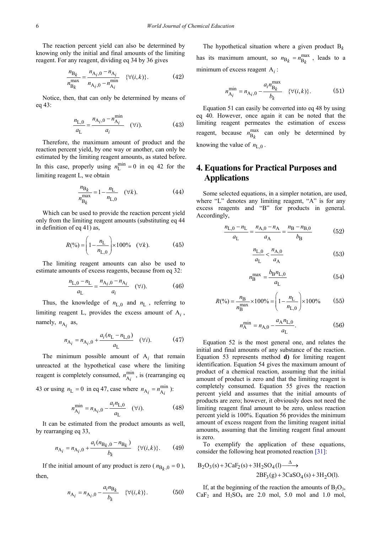The reaction percent yield can also be determined by knowing only the initial and final amounts of the limiting reagent. For any reagent, dividing eq 34 by 36 gives

$$
\frac{n_{\text{B}_k}}{n_{\text{B}_k}^{\text{max}}} = \frac{n_{\text{A}_i,0} - n_{\text{A}_i}}{n_{\text{A}_i,0} - n_{\text{A}_i}^{\text{min}}} \quad \{\forall (i,k)\}.
$$
 (42)

Notice, then, that can only be determined by means of eq 43:

$$
\frac{n_{\text{L},0}}{a_{\text{L}}} = \frac{n_{\text{A}_i,0} - n_{\text{A}_i}}{a_i} \quad (\forall i). \tag{43}
$$

Therefore, the maximum amount of product and the reaction percent yield, by one way or another, can only be estimated by the limiting reagent amounts, as stated before. In this case, properly using  $n_L^{\text{min}} = 0$  in eq 42 for the limiting reagent L, we obtain

$$
\frac{n_{B_k}}{n_{B_k}^{\max}} = 1 - \frac{n_L}{n_{L,0}} \quad (\forall k). \tag{44}
$$

Which can be used to provide the reaction percent yield only from the limiting reagent amounts (substituting eq 44 in definition of eq 41) as,

$$
R(\%) = \left(1 - \frac{n_{\rm L}}{n_{\rm L,0}}\right) \times 100\% \quad (\forall k). \tag{45}
$$

The limiting reagent amounts can also be used to estimate amounts of excess reagents, because from eq 32:

$$
\frac{n_{\text{L},0} - n_{\text{L}}}{a_{\text{L}}} = \frac{n_{\text{A}_i,0} - n_{\text{A}_i}}{a_i} \quad (\forall i). \tag{46}
$$

Thus, the knowledge of  $n_{L,0}$  and  $n_L$ , referring to limiting reagent L, provides the excess amount of A*<sup>i</sup>* , namely,  $n_{A_i}$  as,

$$
n_{A_i} = n_{A_i,0} + \frac{a_i(n_L - n_{L,0})}{a_L} \quad (\forall i). \tag{47}
$$

The minimum possible amount of  $A_i$  that remain unreacted at the hypothetical case where the limiting reagent is completely consumed,  $n_{A_i}^{min}$ , is (rearranging eq

43 or using 
$$
n_L = 0
$$
 in eq 47, case where  $n_{A_i} = n_{A_i}^{min}$ ):

$$
n_{\mathbf{A}_{i}}^{\min} = n_{\mathbf{A}_{i},0} - \frac{a_{i}n_{\mathbf{L},0}}{a_{\mathbf{L}}} \quad (\forall i). \tag{48}
$$

It can be estimated from the product amounts as well, by rearranging eq 33,

$$
n_{A_i} = n_{A_i,0} + \frac{a_i (n_{B_k,0} - n_{B_k})}{b_k} \quad \{\forall (i,k)\}.
$$
 (49)

If the initial amount of any product is zero ( $n_{B_k,0} = 0$ ), then,

$$
n_{A_i} = n_{A_i,0} - \frac{a_i n_{B_k}}{b_k} \quad \{\forall (i,k)\}.
$$
 (50)

The hypothetical situation where a given product  $B_k$ has its maximum amount, so  $n_{B_k} = n_{B_k}^{\text{max}}$ , leads to a minimum of excess reagent A*<sup>i</sup>* :

$$
n_{A_i}^{\min} = n_{A_i,0} - \frac{a_i n_{B_k}^{\max}}{b_k} \quad \{\forall (i,k)\}.
$$
 (51)

Equation 51 can easily be converted into eq 48 by using eq 40. However, once again it can be noted that the limiting reagent permeates the estimation of excess reagent, because  $n_{\text{B}_k}^{\text{max}}$  can only be determined by knowing the value of  $n_{\text{L},0}$ .

## **4. Equations for Practical Purposes and Applications**

Some selected equations, in a simpler notation, are used, where "L" denotes any limiting reagent, "A" is for any excess reagents and "B" for products in general. Accordingly,

$$
\frac{n_{\text{L},0} - n_{\text{L}}}{a_{\text{L}}} = \frac{n_{\text{A},0} - n_{\text{A}}}{a_{\text{A}}} = \frac{n_{\text{B}} - n_{\text{B},0}}{b_{\text{B}}}
$$
(52)

$$
\frac{n_{\text{L},0}}{a_{\text{L}}} < \frac{n_{\text{A},0}}{a_{\text{A}}} \tag{53}
$$

$$
n_{\rm B}^{\rm max} = \frac{b_{\rm B} n_{\rm L,0}}{a_{\rm L}}\tag{54}
$$

$$
R(\%) = \frac{n_{\text{B}}}{n_{\text{B}}^{\text{max}}} \times 100\% = \left(1 - \frac{n_{\text{L}}}{n_{\text{L},0}}\right) \times 100\% \tag{55}
$$

$$
n_{\rm A}^{\rm min} = n_{\rm A,0} - \frac{a_{\rm A} n_{\rm L,0}}{a_{\rm L}}.\tag{56}
$$

Equation 52 is the most general one, and relates the initial and final amounts of any substance of the reaction. Equation 53 represents method **d)** for limiting reagent identification. Equation 54 gives the maximum amount of product of a chemical reaction, assuming that the initial amount of product is zero and that the limiting reagent is completely consumed. Equation 55 gives the reaction percent yield and assumes that the initial amounts of products are zero; however, it obviously does not need the limiting reagent final amount to be zero, unless reaction percent yield is 100%. Equation 56 provides the minimum amount of excess reagent from the limiting reagent initial amounts, assuming that the limiting reagent final amount is zero.

To exemplify the application of these equations, consider the following heat promoted reaction [\[31\]:](#page-7-10)

$$
B_2O_3(s) + 3CaF_2(s) + 3H_2SO_4(l) \xrightarrow{\Delta} 2BF_3(g) + 3CaSO_4(s) + 3H_2O(l).
$$

If, at the beginning of the reaction the amounts of  $B_2O_3$ ,  $CaF<sub>2</sub>$  and  $H<sub>2</sub>SO<sub>4</sub>$  are 2.0 mol, 5.0 mol and 1.0 mol,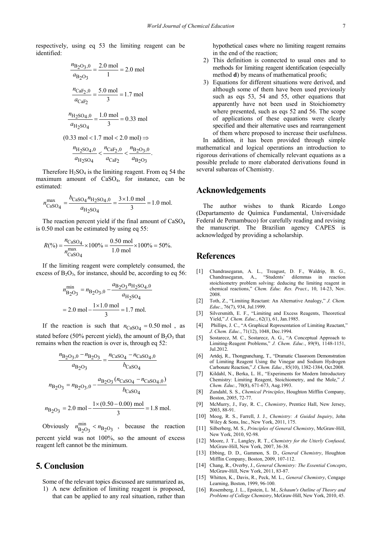respectively, using eq 53 the limiting reagent can be identified:

$$
\frac{n_{\text{B}_2\text{O}_3,0}}{a_{\text{B}_2\text{O}_3}} = \frac{2.0 \text{ mol}}{1} = 2.0 \text{ mol}
$$
  

$$
\frac{n_{\text{CaF}_2,0}}{a_{\text{CaF}_2}} = \frac{5.0 \text{ mol}}{3} = 1.7 \text{ mol}
$$
  

$$
\frac{n_{\text{H}_2\text{SO}_4,0}}{a_{\text{H}_2\text{SO}_4}} = \frac{1.0 \text{ mol}}{3} = 0.33 \text{ mol}
$$
  

$$
(0.33 \text{ mol} < 1.7 \text{ mol} < 2.0 \text{ mol}) \Rightarrow
$$
  

$$
\frac{n_{\text{H}_2\text{SO}_4,0}}{a_{\text{H}_2\text{SO}_4}} < \frac{n_{\text{CaF}_2,0}}{a_{\text{CaF}_2}} < \frac{n_{\text{B}_2\text{O}_3,0}}{a_{\text{B}_2\text{O}_3}}.
$$

Therefore  $H_2SO_4$  is the limiting reagent. From eq 54 the maximum amount of  $CaSO<sub>4</sub>$ , for instance, can be estimated:

$$
n_{\text{CaSO}_4}^{\text{max}} = \frac{b_{\text{CaSO}_4} n_{\text{H}_2\text{SO}_4,0}}{a_{\text{H}_2\text{SO}_4}} = \frac{3 \times 1.0 \text{ mol}}{3} = 1.0 \text{ mol.}
$$

The reaction percent yield if the final amount of  $CaSO<sub>4</sub>$ is 0.50 mol can be estimated by using eq 55:

$$
R(\%) = \frac{n_{\text{CaSO}_4}}{n_{\text{CaSO}_4}^{\text{max}}} \times 100\% = \frac{0.50 \text{ mol}}{1.0 \text{ mol}} \times 100\% = 50\%.
$$

If the limiting reagent were completely consumed, the excess of  $B_2O_3$ , for instance, should be, according to eq 56:

$$
n_{\text{B}_2\text{O}_3}^{\text{min}} = n_{\text{B}_2\text{O}_3,0} - \frac{a_{\text{B}_2\text{O}_3} n_{\text{H}_2\text{SO}_4,0}}{a_{\text{H}_2\text{SO}_4}}
$$

$$
= 2.0 \text{ mol} - \frac{1 \times 1.0 \text{ mol}}{3} = 1.7 \text{ mol}.
$$

If the reaction is such that  $n_{CaSO_4} = 0.50$  mol, as stated before (50% percent yield), the amount of  $B_2O_3$  that remains when the reaction is over is, through eq 52:

$$
\frac{n_{\text{B}_2\text{O}_3,0} - n_{\text{B}_2\text{O}_3}}{a_{\text{B}_2\text{O}_3}} = \frac{n_{\text{CaSO}_4} - n_{\text{CaSO}_4,0}}{b_{\text{CaSO}_4}}
$$

$$
n_{\text{B}_2\text{O}_3} = n_{\text{B}_2\text{O}_3,0} - \frac{a_{\text{B}_2\text{O}_3}(n_{\text{CaSO}_4} - n_{\text{CaSO}_4,0})}{b_{\text{CaSO}_4}}
$$

$$
n_{\text{B}_2\text{O}_3} = 2.0 \text{ mol} - \frac{1 \times (0.50 - 0.00) \text{ mol}}{3} = 1.8 \text{ mol.}
$$

Obviously  $n_{\text{B}_2\text{O}_3}^{\text{min}}$  <  $n_{\text{B}_2\text{O}_3}$  , because the reaction percent yield was not 100%, so the amount of excess reagent left cannot be the minimum.

## **5. Conclusion**

Some of the relevant topics discussed are summarized as,

1) A new definition of limiting reagent is proposed, that can be applied to any real situation, rather than hypothetical cases where no limiting reagent remains in the end of the reaction;

- 2) This definition is connected to usual ones and to methods for limiting reagent identification (especially method **d**) by means of mathematical proofs;
- 3) Equations for different situations were derived, and although some of them have been used previously such as eqs 53, 54 and 55, other equations that apparently have not been used in Stoichiometry where presented, such as eqs 52 and 56. The scope of applications of these equations were clearly specified and their alternative uses and rearrangement of them where proposed to increase their usefulness.

In addition, it has been provided through simple mathematical and logical operations an introduction to rigorous derivations of chemically relevant equations as a possible prelude to more elaborated derivations found in several subareas of Chemistry.

### **Acknowledgements**

The author wishes to thank Ricardo Longo (Departamento de Química Fundamental, Universidade Federal de Pernambuco) for carefully reading and revising the manuscript. The Brazilian agency CAPES is acknowledged by providing a scholarship.

#### **References**

- <span id="page-6-0"></span>[1] Chandrasegaran, A. L., Treagust, D. F., Waldrip, B. G., Chandrasegaran, A., "Students' dilemmas in reaction stoichiometry problem solving: deducing the limiting reagent in chemical reactions," *Chem. Educ. Res. Pract.*, 10, 14-23, Nov. 2008.
- <span id="page-6-1"></span>[2] Toth, Z., "Limiting Reactant: An Alternative Analogy," *J. Chem. Educ.*, 76(7), 934, Jul.1999.
- [3] Silversmith, E. F., "Limiting and Excess Reagents, Theoretical Yield," *J. Chem. Educ.*, 62(1), 61, Jan.1985.
- <span id="page-6-2"></span>[4] Phillips, J. C., "A Graphical Representation of Limiting Reactant," *J. Chem. Educ.*, 71(12), 1048, Dec.1994.
- <span id="page-6-5"></span>[5] Sostarecz, M. C., Sostarecz, A. G., "A Conceptual Approach to Limiting-Reagent Problems," *J. Chem. Educ.*, 89(9), 1148-1151, Jul.2012.
- <span id="page-6-3"></span>[6] Artdej, R., Thongpanchang, T., "Dramatic Classroom Demonstration of Limiting Reagent Using the Vinegar and Sodium Hydrogen Carbonate Reaction," *J. Chem. Educ.*, 85(10), 1382-1384, Oct.2008.
- [7] Kildahl, N., Berka, L. H., "Experiments for Modern Introductory Chemistry: Limiting Reagent, Stoichiometry, and the Mole," *J. Chem. Educ.*, 70(8), 671-673, Aug.1993.
- <span id="page-6-4"></span>[8] Zundahl, S. S., *Chemical Principles*, Houghton Mifflin Company, Boston, 2005, 72-77.
- [9] McMurry, J., Fay, R. C., *Chemistry*, Prentice Hall, New Jersey, 2003, 88-91.
- [10] Moog, R. S., Farrell, J. J., *Chemistry: A Guided Inquiry*, John Wiley & Sons, Inc., New York, 2011, 175.
- <span id="page-6-7"></span>[11] Silberberg, M. S., *Principles of General Chemistry*, McGraw-Hill, New York, 2010, 92-98.
- <span id="page-6-6"></span>[12] Moore, J. T., Langley, R. T., *Chemistry for the Utterly Confused*, McGraw-Hill, New York, 2007, 36-38.
- [13] Ebbing, D. D., Gammon, S. D., *General Chemistry*, Houghton Mifflin Company, Boston, 2009, 107-112.
- [14] Chang, R., Overby, J., *General Chemistry: The Essential Concepts*, McGraw-Hill, New York, 2011, 83-87.
- [15] Whitten, K., Davis, R., Peck, M. L., *General Chemistry*, Cengage Learning, Boston, 1999, 96-100.
- [16] Rosemberg, J. L., Epstein, L. M., *Schaum's Outline of Theory and Problems of College Chemistry*, McGraw-Hill, New York, 2010, 45.